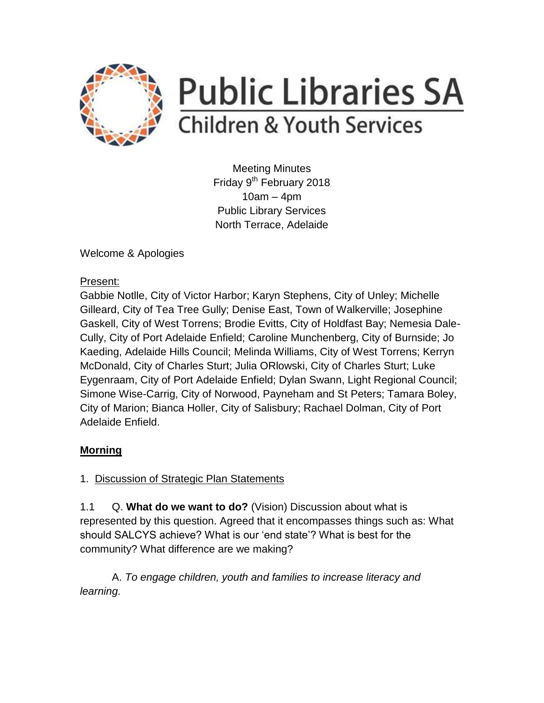

# **Public Libraries SA Children & Youth Services**

Meeting Minutes Friday 9<sup>th</sup> February 2018 10am – 4pm Public Library Services North Terrace, Adelaide

Welcome & Apologies

#### Present:

Gabbie Notlle, City of Victor Harbor; Karyn Stephens, City of Unley; Michelle Gilleard, City of Tea Tree Gully; Denise East, Town of Walkerville; Josephine Gaskell, City of West Torrens; Brodie Evitts, City of Holdfast Bay; Nemesia Dale-Cully, City of Port Adelaide Enfield; Caroline Munchenberg, City of Burnside; Jo Kaeding, Adelaide Hills Council; Melinda Williams, City of West Torrens; Kerryn McDonald, City of Charles Sturt; Julia ORlowski, City of Charles Sturt; Luke Eygenraam, City of Port Adelaide Enfield; Dylan Swann, Light Regional Council; Simone Wise-Carrig, City of Norwood, Payneham and St Peters; Tamara Boley, City of Marion; Bianca Holler, City of Salisbury; Rachael Dolman, City of Port Adelaide Enfield.

## **Morning**

1. Discussion of Strategic Plan Statements

1.1 Q. **What do we want to do?** (Vision) Discussion about what is represented by this question. Agreed that it encompasses things such as: What should SALCYS achieve? What is our 'end state'? What is best for the community? What difference are we making?

A. *To engage children, youth and families to increase literacy and learning.*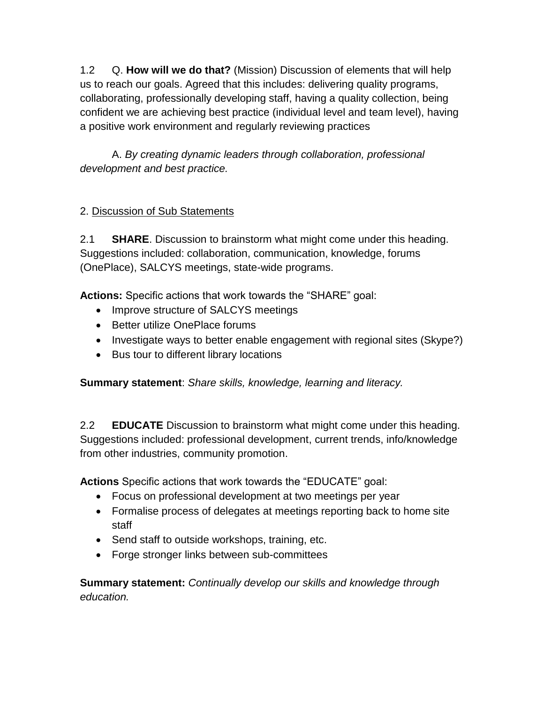1.2 Q. **How will we do that?** (Mission) Discussion of elements that will help us to reach our goals. Agreed that this includes: delivering quality programs, collaborating, professionally developing staff, having a quality collection, being confident we are achieving best practice (individual level and team level), having a positive work environment and regularly reviewing practices

A. *By creating dynamic leaders through collaboration, professional development and best practice.*

### 2. Discussion of Sub Statements

2.1 **SHARE**. Discussion to brainstorm what might come under this heading. Suggestions included: collaboration, communication, knowledge, forums (OnePlace), SALCYS meetings, state-wide programs.

**Actions:** Specific actions that work towards the "SHARE" goal:

- Improve structure of SALCYS meetings
- Better utilize OnePlace forums
- Investigate ways to better enable engagement with regional sites (Skype?)
- Bus tour to different library locations

**Summary statement**: *Share skills, knowledge, learning and literacy.*

2.2 **EDUCATE** Discussion to brainstorm what might come under this heading. Suggestions included: professional development, current trends, info/knowledge from other industries, community promotion.

**Actions** Specific actions that work towards the "EDUCATE" goal:

- Focus on professional development at two meetings per year
- Formalise process of delegates at meetings reporting back to home site staff
- Send staff to outside workshops, training, etc.
- Forge stronger links between sub-committees

**Summary statement:** *Continually develop our skills and knowledge through education.*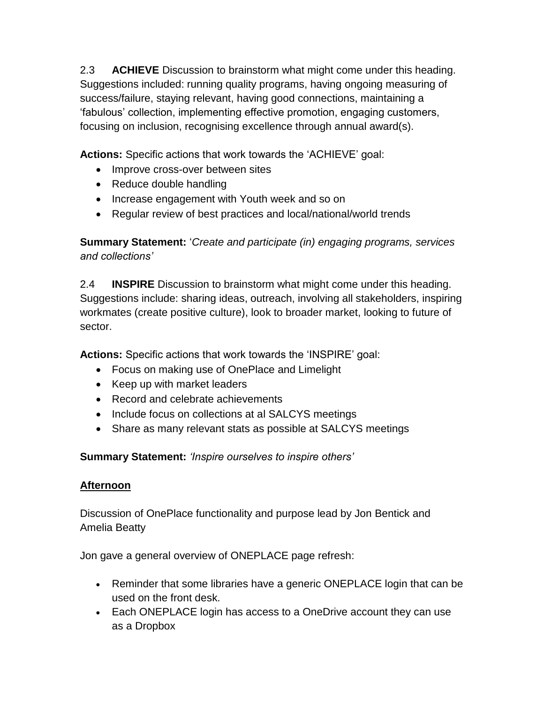2.3 **ACHIEVE** Discussion to brainstorm what might come under this heading. Suggestions included: running quality programs, having ongoing measuring of success/failure, staying relevant, having good connections, maintaining a 'fabulous' collection, implementing effective promotion, engaging customers, focusing on inclusion, recognising excellence through annual award(s).

**Actions:** Specific actions that work towards the 'ACHIEVE' goal:

- Improve cross-over between sites
- Reduce double handling
- Increase engagement with Youth week and so on
- Regular review of best practices and local/national/world trends

**Summary Statement:** '*Create and participate (in) engaging programs, services and collections'*

2.4 **INSPIRE** Discussion to brainstorm what might come under this heading. Suggestions include: sharing ideas, outreach, involving all stakeholders, inspiring workmates (create positive culture), look to broader market, looking to future of sector.

**Actions:** Specific actions that work towards the 'INSPIRE' goal:

- Focus on making use of OnePlace and Limelight
- Keep up with market leaders
- Record and celebrate achievements
- Include focus on collections at al SALCYS meetings
- Share as many relevant stats as possible at SALCYS meetings

**Summary Statement:** *'Inspire ourselves to inspire others'*

#### **Afternoon**

Discussion of OnePlace functionality and purpose lead by Jon Bentick and Amelia Beatty

Jon gave a general overview of ONEPLACE page refresh:

- Reminder that some libraries have a generic ONEPLACE login that can be used on the front desk.
- Each ONEPLACE login has access to a OneDrive account they can use as a Dropbox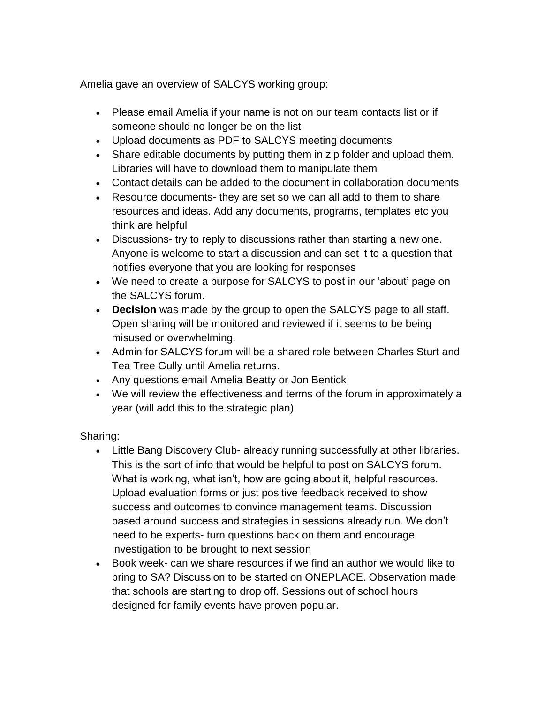Amelia gave an overview of SALCYS working group:

- Please email Amelia if your name is not on our team contacts list or if someone should no longer be on the list
- Upload documents as PDF to SALCYS meeting documents
- Share editable documents by putting them in zip folder and upload them. Libraries will have to download them to manipulate them
- Contact details can be added to the document in collaboration documents
- Resource documents- they are set so we can all add to them to share resources and ideas. Add any documents, programs, templates etc you think are helpful
- Discussions- try to reply to discussions rather than starting a new one. Anyone is welcome to start a discussion and can set it to a question that notifies everyone that you are looking for responses
- We need to create a purpose for SALCYS to post in our 'about' page on the SALCYS forum.
- **Decision** was made by the group to open the SALCYS page to all staff. Open sharing will be monitored and reviewed if it seems to be being misused or overwhelming.
- Admin for SALCYS forum will be a shared role between Charles Sturt and Tea Tree Gully until Amelia returns.
- Any questions email Amelia Beatty or Jon Bentick
- We will review the effectiveness and terms of the forum in approximately a year (will add this to the strategic plan)

Sharing:

- Little Bang Discovery Club- already running successfully at other libraries. This is the sort of info that would be helpful to post on SALCYS forum. What is working, what isn't, how are going about it, helpful resources. Upload evaluation forms or just positive feedback received to show success and outcomes to convince management teams. Discussion based around success and strategies in sessions already run. We don't need to be experts- turn questions back on them and encourage investigation to be brought to next session
- Book week- can we share resources if we find an author we would like to bring to SA? Discussion to be started on ONEPLACE. Observation made that schools are starting to drop off. Sessions out of school hours designed for family events have proven popular.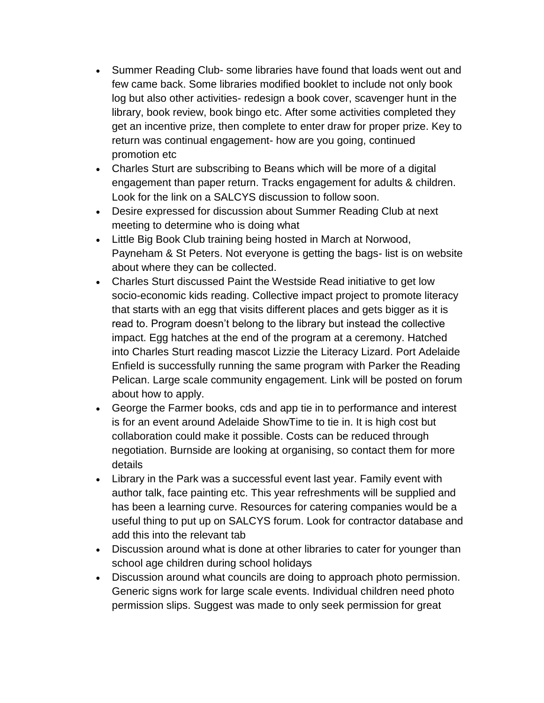- Summer Reading Club- some libraries have found that loads went out and few came back. Some libraries modified booklet to include not only book log but also other activities- redesign a book cover, scavenger hunt in the library, book review, book bingo etc. After some activities completed they get an incentive prize, then complete to enter draw for proper prize. Key to return was continual engagement- how are you going, continued promotion etc
- Charles Sturt are subscribing to Beans which will be more of a digital engagement than paper return. Tracks engagement for adults & children. Look for the link on a SALCYS discussion to follow soon.
- Desire expressed for discussion about Summer Reading Club at next meeting to determine who is doing what
- Little Big Book Club training being hosted in March at Norwood, Payneham & St Peters. Not everyone is getting the bags- list is on website about where they can be collected.
- Charles Sturt discussed Paint the Westside Read initiative to get low socio-economic kids reading. Collective impact project to promote literacy that starts with an egg that visits different places and gets bigger as it is read to. Program doesn't belong to the library but instead the collective impact. Egg hatches at the end of the program at a ceremony. Hatched into Charles Sturt reading mascot Lizzie the Literacy Lizard. Port Adelaide Enfield is successfully running the same program with Parker the Reading Pelican. Large scale community engagement. Link will be posted on forum about how to apply.
- George the Farmer books, cds and app tie in to performance and interest is for an event around Adelaide ShowTime to tie in. It is high cost but collaboration could make it possible. Costs can be reduced through negotiation. Burnside are looking at organising, so contact them for more details
- Library in the Park was a successful event last year. Family event with author talk, face painting etc. This year refreshments will be supplied and has been a learning curve. Resources for catering companies would be a useful thing to put up on SALCYS forum. Look for contractor database and add this into the relevant tab
- Discussion around what is done at other libraries to cater for younger than school age children during school holidays
- Discussion around what councils are doing to approach photo permission. Generic signs work for large scale events. Individual children need photo permission slips. Suggest was made to only seek permission for great